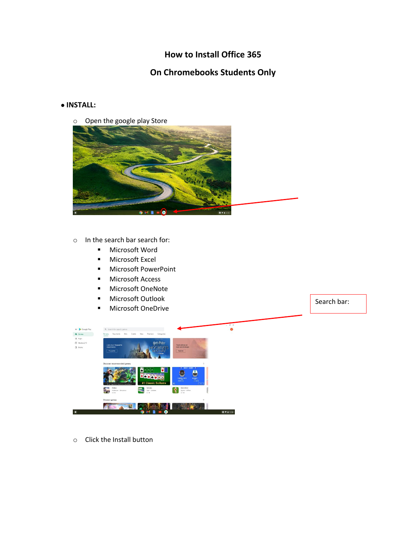## **How to Install Office 365**

# **On Chromebooks Students Only**

#### **INSTALL:**

o Open the google play Store



- o In the search bar search for:
	- **Nicrosoft Word**
	- **Microsoft Excel**
	- **Nicrosoft PowerPoint**
	- **Microsoft Access**
	- **Microsoft OneNote**
	- **Microsoft Outlook**
	- **Microsoft OneDrive**

Search bar:



o Click the Install button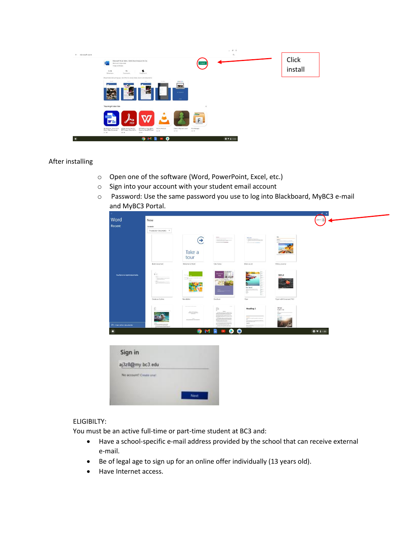

#### After installing

- o Open one of the software (Word, PowerPoint, Excel, etc.)
- o Sign into your account with your student email account
- o Password: Use the same password you use to log into Blackboard, MyBC3 e-mail and MyBC3 Portal.

| Word                          | New                                    |                           |                                  |                                                    |                                                  | senin e          |  |
|-------------------------------|----------------------------------------|---------------------------|----------------------------------|----------------------------------------------------|--------------------------------------------------|------------------|--|
| Recent                        | Create in<br>This device > Documents - |                           |                                  |                                                    |                                                  |                  |  |
|                               |                                        | $\odot$<br>Take a<br>tour | $ -$                             |                                                    | - 11                                             |                  |  |
|                               | Blank document                         | Welcome to Word           | Take Notes                       | Make a List                                        | Write a Journal                                  |                  |  |
| You have no recent documents. | <b>Trees</b>                           |                           |                                  | For Sale!<br>Applications<br>Free                  | TITLE                                            |                  |  |
|                               | Create an Outline                      | Newsletter                | Brochure                         | Fire:                                              | Paper with Cover and TOC                         |                  |  |
|                               | ÷                                      |                           | $\widetilde{\Xi}$                | <b>Heading 1</b><br><b>Scripture</b> 25<br>"Quite" | <b>TITLE</b><br>SUBTITLE<br>$rac{m}{m \times m}$ |                  |  |
| Phone other documents         | Textilen Texture                       | <b>O</b>                  | $\bullet$<br>м<br>R<br>$\bullet$ | <b>STANDAR</b><br>$\bullet$                        |                                                  | $\bullet$ + 1.53 |  |
|                               |                                        |                           |                                  |                                                    |                                                  |                  |  |
| Sign in                       |                                        |                           |                                  |                                                    |                                                  |                  |  |
| aj3z8@my.bc3.edu              |                                        |                           |                                  |                                                    |                                                  |                  |  |
| No account? Create one!       |                                        |                           |                                  |                                                    |                                                  |                  |  |
|                               |                                        |                           |                                  |                                                    |                                                  |                  |  |
|                               |                                        |                           |                                  |                                                    |                                                  |                  |  |

### ELIGIBILTY:

You must be an active full-time or part-time student at BC3 and:

- Have a school-specific e-mail address provided by the school that can receive external e-mail.
- Be of legal age to sign up for an online offer individually (13 years old).
- Have Internet access.